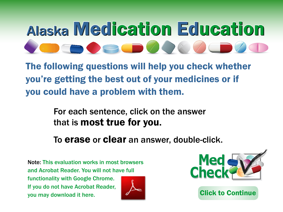## Alaska Medication Education

The following questions will help you check whether you're getting the best out of your medicines or if you could have a problem with them.

> For each sentence, click on the answer that is most true for you.

To erase or clear an answer, double-click.

Note: This evaluation works in most browsers and Acrobat Reader. You will not have full functionality with Google Chrome. If you do not have Acrobat Reader, you may download it here.

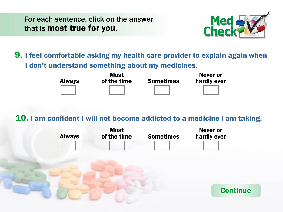## Alaska Medication Education

The bllowing stions will hel pucheck whether **y** the gtting the bst otiof puentimes or if **guold avelenge a rolerwith them** 

> or each sentence, click on the answer that is ast tre br pu

To erase or clear an answer, double-click.

Note This evaluation works in most browsers and Acrobat Reader. You will not have full functionality with oogle Chrome. If you do not have Acrobat Reader, you may download it here.



**C**ck to **C**ntine